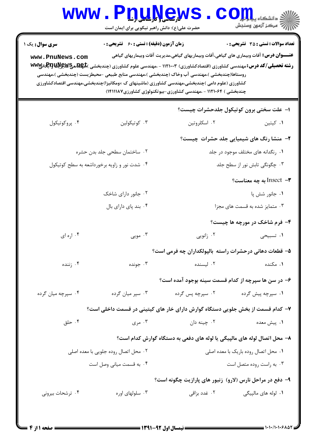|                                                                                                                                                                                                                                                                                                                                                                                                                                                                                                                      | www.PnuNews<br>حضرت علی(ع): دانش راهبر نیکویی برای ایمان است |                                                                                | $\text{C}$ Om,<br>رآب آمرڪز آزمون وسنڊش         |  |  |  |
|----------------------------------------------------------------------------------------------------------------------------------------------------------------------------------------------------------------------------------------------------------------------------------------------------------------------------------------------------------------------------------------------------------------------------------------------------------------------------------------------------------------------|--------------------------------------------------------------|--------------------------------------------------------------------------------|-------------------------------------------------|--|--|--|
| <b>زمان آزمون (دقیقه) : تستی : 60 ٪ تشریحی : 0</b><br><b>تعداد سوالات : تستي : 35 ٪ تشریحي : 0</b><br><b>سری سوال :</b> یک ۱<br><b>عنــــوان درس:</b> آفات وبیماری های گیاهی،آفات وبیماریهای گیاهی،مدیریت آفات وبیماریهای گیاهی<br>www.PnuNews.com<br>روستاها(چندبخشی )،مهندسی آب وخاک (چندبخشی )،مهندسی منابع طبیعی –محیطزیست (چندبخشی )،مهندسی<br>کشاورزی (علوم دامی )چندبخشی،مهندسی کشاورزی (ماشینهای ک ×ومکانیزا)چندبخشی،مهندسی اقتصادکشاورزی<br>چندبخشی ) ۱۱۲۱۰۶۴ - ،مهندسی کشاورزی-بیوتکنولوژی کشاورزی۷۸۱۱۱۸۷) |                                                              |                                                                                |                                                 |  |  |  |
|                                                                                                                                                                                                                                                                                                                                                                                                                                                                                                                      |                                                              |                                                                                | ۱- علت سختی برون کوتیکول جلدحشرات چیست؟         |  |  |  |
| ۰۴ پروکوتیکول                                                                                                                                                                                                                                                                                                                                                                                                                                                                                                        | ۰۳ کوتیکولین                                                 | ۰۲ اسکلروتين                                                                   | ۰۱ کیتین                                        |  |  |  |
|                                                                                                                                                                                                                                                                                                                                                                                                                                                                                                                      |                                                              |                                                                                | <b>۲</b> - منشا رنگ های شیمیایی جلد حشرات چیست؟ |  |  |  |
| ۰۲ ساختمان سطحی جلد بدن حشره                                                                                                                                                                                                                                                                                                                                                                                                                                                                                         |                                                              | ۰۱ رنگدانه های مختلف موجود در جلد                                              |                                                 |  |  |  |
|                                                                                                                                                                                                                                                                                                                                                                                                                                                                                                                      | ۰۴ شدت نور و زاویه برخورداشعه به سطح کوتیکول                 | ۰۳ چگونگی تابش نور از سطح جلد                                                  |                                                 |  |  |  |
|                                                                                                                                                                                                                                                                                                                                                                                                                                                                                                                      |                                                              |                                                                                | به چه معناست؟ Insect $-$ ۳                      |  |  |  |
|                                                                                                                                                                                                                                                                                                                                                                                                                                                                                                                      | ۰۲ جانور دارای شاخک                                          |                                                                                | ۰۱ جانور شش پا                                  |  |  |  |
|                                                                                                                                                                                                                                                                                                                                                                                                                                                                                                                      | ۰۴ بند پای دارای بال                                         | ۰۳ متمایز شده به قسمت های مجزا                                                 |                                                 |  |  |  |
|                                                                                                                                                                                                                                                                                                                                                                                                                                                                                                                      |                                                              |                                                                                | ۴- فرم شاخک در مورچه ها چیست؟                   |  |  |  |
| ۰۴ اره ای                                                                                                                                                                                                                                                                                                                                                                                                                                                                                                            | ۰۳ مويي                                                      | ۰۲ زانویی                                                                      | ۱. تسبیحی                                       |  |  |  |
|                                                                                                                                                                                                                                                                                                                                                                                                                                                                                                                      |                                                              | ۵– قطعات دهانی درحشرات راسته بالپولکداران چه فرمی است؟                         |                                                 |  |  |  |
| ۰۴ زننده                                                                                                                                                                                                                                                                                                                                                                                                                                                                                                             | ۰۳ جونده                                                     |                                                                                | ۰ <b>۱</b> مکنده است. ۲ ایسنده                  |  |  |  |
|                                                                                                                                                                                                                                                                                                                                                                                                                                                                                                                      |                                                              | ۶– در سن ها سپرچه از کدام قسمت سینه بوجود آمده است؟                            |                                                 |  |  |  |
| ۰۴ سپرچه میان گرده                                                                                                                                                                                                                                                                                                                                                                                                                                                                                                   | ۰۳ سپر میان گرده                                             | ۰۲ سپرچه پس گرده                                                               | ۰۱ سپرچه پیش گرده                               |  |  |  |
|                                                                                                                                                                                                                                                                                                                                                                                                                                                                                                                      |                                                              | ۷– کدام قسمت از بخش جلویی دستگاه گوارش دارای خار های کیتینی در قسمت داخلی است؟ |                                                 |  |  |  |
| ۰۴ حلق                                                                                                                                                                                                                                                                                                                                                                                                                                                                                                               | ۰۳ مری                                                       | ۰۲ چینه دان                                                                    | ۰۱ پیش معده                                     |  |  |  |
|                                                                                                                                                                                                                                                                                                                                                                                                                                                                                                                      |                                                              | ۸– محل اتصال لوله های مالپیگی یا لوله های دفعی به دستگاه گوارش کدام است؟       |                                                 |  |  |  |
| ۰۲ محل اتصال روده جلویی با معده اصلی                                                                                                                                                                                                                                                                                                                                                                                                                                                                                 |                                                              | ٠١ محل اتصال روده باريک با معده اصلي                                           |                                                 |  |  |  |
| ۰۴ به قسمت میانی وصل است                                                                                                                                                                                                                                                                                                                                                                                                                                                                                             |                                                              | ۰۳ به راست روده متصل است                                                       |                                                 |  |  |  |
|                                                                                                                                                                                                                                                                                                                                                                                                                                                                                                                      |                                                              | ۹- دفع در مراحل نارس (لارو) زنبور های پارازیت چگونه است؟                       |                                                 |  |  |  |
| ۰۴ ترشحات بیرونی                                                                                                                                                                                                                                                                                                                                                                                                                                                                                                     | ۰۳ سلولهای اوره                                              |                                                                                |                                                 |  |  |  |
|                                                                                                                                                                                                                                                                                                                                                                                                                                                                                                                      |                                                              |                                                                                |                                                 |  |  |  |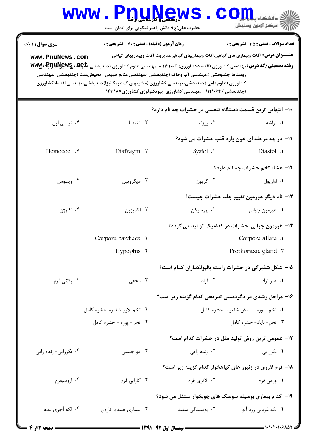|                                           | $\mathbf{WW}\bullet$ .                             | <b>N, SJ, LJ, SS, M</b><br>حضرت علی(ع): دانش راهبر نیکویی برای ایمان است                                                                                                                                                                                         | دانشگاه پی <mark>ای</mark><br>ر آ مرڪز آزمون وسنڊش                                                                                                                                                                                                                                    |
|-------------------------------------------|----------------------------------------------------|------------------------------------------------------------------------------------------------------------------------------------------------------------------------------------------------------------------------------------------------------------------|---------------------------------------------------------------------------------------------------------------------------------------------------------------------------------------------------------------------------------------------------------------------------------------|
| <b>سری سوال : ۱ یک</b><br>www.PnuNews.com | <b>زمان آزمون (دقیقه) : تستی : 60 ٪ تشریحی : 0</b> | روستاها(چندبخشی )،مهندسی آب وخاک (چندبخشی )،مهندسی منابع طبیعی –محیطزیست (چندبخشی )،مهندسی<br>کشاورزی (علوم دامی )چندبخشی،مهندسی کشاورزی (ماشینهای ک ×ومکانیزا)چندبخشی،مهندسی اقتصادکشاورزی<br>(چندبخشی ) ۱۱۲۱۰۶۴ - ،مهندسی کشاورزی-بیوتکنولوژی کشاورزی۷ ۱۴۱۱۱۸۷ | <b>تعداد سوالات : تستی : 35 - تشریحی : 0</b><br><b>عنـــوان درس:</b> آفات وبیماری های گیاهی،آفات وبیماریهای گیاهی،مدیریت آفات وبیماریهای گیاهی<br><b>رشته تحصیلی/کد درس:</b> مهندسی کشاورزی (اقتصادکشاورزی) ۱۱۲۱۰۰۳ - ،مهندسی علوم کشاورزی (چندبخشی ) <del>Re هےWE میا آباد) با</del> |
|                                           |                                                    | ۱۰– انتهایی ترین قسمت دستگاه تنفسی در حشرات چه نام دارد؟                                                                                                                                                                                                         |                                                                                                                                                                                                                                                                                       |
| ۰۴ تراشی اول                              | ۰۳ تانیدیا                                         | ۰۲ روزنه                                                                                                                                                                                                                                                         | ٠١ تراشه                                                                                                                                                                                                                                                                              |
|                                           |                                                    |                                                                                                                                                                                                                                                                  | 11- در چه مرحله ای خون وارد قلب حشرات می شود؟                                                                                                                                                                                                                                         |
| Hemocoel .*                               | Diafragm .                                         | Systol . ٢                                                                                                                                                                                                                                                       | Diastol .                                                                                                                                                                                                                                                                             |
|                                           |                                                    |                                                                                                                                                                                                                                                                  | 12- غشاء تخم حشرات چه نام دارد؟                                                                                                                                                                                                                                                       |
| ۰۴ ويتلوس                                 | ۰۳ میکروپیل                                        | ۰۲ کريون                                                                                                                                                                                                                                                         | ٠١ اواريول                                                                                                                                                                                                                                                                            |
|                                           |                                                    |                                                                                                                                                                                                                                                                  | ۱۳- نام دیگر هورمون تغییر جلد حشرات چیست؟                                                                                                                                                                                                                                             |
| ۰۴ اکلوژن                                 | ۰۳ اکدیزون                                         | ۰۲ بورسیکن                                                                                                                                                                                                                                                       | ۰۱ هورمون جواني                                                                                                                                                                                                                                                                       |
|                                           |                                                    |                                                                                                                                                                                                                                                                  | ۱۴– هورمون جوانی حشرات در کدامیک تو لید می گردد؟                                                                                                                                                                                                                                      |
|                                           | Corpora cardiaca .                                 |                                                                                                                                                                                                                                                                  | Corpora allata .                                                                                                                                                                                                                                                                      |
|                                           | Hypophis .*                                        |                                                                                                                                                                                                                                                                  | Prothoraxic gland . r                                                                                                                                                                                                                                                                 |
|                                           |                                                    |                                                                                                                                                                                                                                                                  | ۱۵- شکل شفیرگی در حشرات راسته بالپولکداران کدام است؟                                                                                                                                                                                                                                  |
| ۰۴ پلاتي فرم                              | ۰۳ مخفی                                            | ۰۲ آزاد                                                                                                                                                                                                                                                          | ۰۱ غیر آزاد                                                                                                                                                                                                                                                                           |
|                                           |                                                    |                                                                                                                                                                                                                                                                  | ۱۶– مراحل رشدی در دگردیسی تدریجی کدام گزینه زیر است؟                                                                                                                                                                                                                                  |
|                                           | ۰۲ تخم-لارو-شفیره-حشره کامل                        | ۰۱ تخم- پوره - پیش شفیره -حشره کامل                                                                                                                                                                                                                              |                                                                                                                                                                                                                                                                                       |
|                                           | ۰۴ تخم- پوره - حشره کامل                           |                                                                                                                                                                                                                                                                  | ۰۳ تخم- ناياد- حشره كامل                                                                                                                                                                                                                                                              |
|                                           |                                                    |                                                                                                                                                                                                                                                                  | ۱۷– عمومی ترین روش تولید مثل در حشرات کدام است؟                                                                                                                                                                                                                                       |
| ۰۴ بکرزایی- زنده زایی                     | ۰۳ دو جنسی                                         | ۰۲ زنده زایی                                                                                                                                                                                                                                                     | ۰۱ بکرزایی                                                                                                                                                                                                                                                                            |
|                                           |                                                    |                                                                                                                                                                                                                                                                  | ۱۸– فرم لاروی در زنبور های گیاهخوار کدام گزینه زیر است؟                                                                                                                                                                                                                               |
| ۰۴ اروسیفرم                               | ۰۳ کارابی فرم                                      | ۰۲ الاترى فرم                                                                                                                                                                                                                                                    | ۰۱ ورمی فرم                                                                                                                                                                                                                                                                           |
|                                           |                                                    |                                                                                                                                                                                                                                                                  | ۱۹- کدام بیماری بوسیله سوسک های چوبخوار منتقل می شود؟                                                                                                                                                                                                                                 |
| ۰۴ لکه آجری بادم                          | ۰۳ بیماری هلندی نارون                              | ۰۲ پوسیدگی سفید                                                                                                                                                                                                                                                  | ۰۱ لکه غربالی زرد آلو                                                                                                                                                                                                                                                                 |

 $= 1.1.11.1.5107$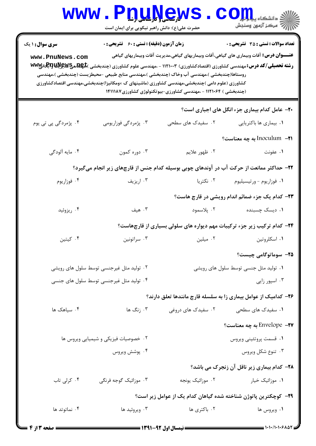|                                                                                                                                                                  | www.P <u>nune</u> ws<br>حضرت علی(ع): دانش راهبر نیکویی برای ایمان است |                                                                                            | الله دانشگاه پیاه اور<br>الله عرکز آزمهن وسنجش                                                                                                |  |  |  |
|------------------------------------------------------------------------------------------------------------------------------------------------------------------|-----------------------------------------------------------------------|--------------------------------------------------------------------------------------------|-----------------------------------------------------------------------------------------------------------------------------------------------|--|--|--|
| <b>سری سوال : ۱ یک</b><br>www.PnuNews.com                                                                                                                        | <b>زمان آزمون (دقیقه) : تستی : 60 گشریحی : 0</b>                      |                                                                                            | <b>تعداد سوالات : تستی : 35 تشریحی : 0</b><br><b>عنــــوان درس:</b> آفات وبیماری های گیاهی،آفات وبیماریهای گیاهی،مدیریت آفات وبیماریهای گیاهی |  |  |  |
|                                                                                                                                                                  |                                                                       |                                                                                            | <b>رشته تحصیلی/کد درس:</b> مهندسی کشاورزی (اقتصادکشاورزی) ۱۱۲۱۰۰۳ - ،مهندسی علوم کشاورزی (چندبخشی ) <del>Re یا یا یا یا یا با با</del>        |  |  |  |
|                                                                                                                                                                  |                                                                       | روستاها(چندبخشی )،مهندسی آب وخاک (چندبخشی )،مهندسی منابع طبیعی –محیطزیست (چندبخشی )،مهندسی |                                                                                                                                               |  |  |  |
| کشاورزی (علوم دامی )چندبخشی،مهندسی کشاورزی (ماشینهای ک ×ومکانیزا)چندبخشی،مهندسی اقتصادکشاورزی<br>(چندبخشی ) ۱۱۲۱۰۶۴ - ،مهندسی کشاورزی-بیوتکنولوژی کشاورزی۱۴۱۱۱۸۷ |                                                                       |                                                                                            |                                                                                                                                               |  |  |  |
|                                                                                                                                                                  |                                                                       |                                                                                            | <b>۲۰</b> - عامل کدام بیماری جزء انگل های اجباری است؟                                                                                         |  |  |  |
| ۰۴ پژمردگی پی تی یوم                                                                                                                                             | ۰۳ پژمردگی فوزاریومی                                                  | ۲. سفیدک های سطحی                                                                          | ۰۱ بیماری ها باکتریایی                                                                                                                        |  |  |  |
|                                                                                                                                                                  |                                                                       |                                                                                            | ا۲− Inoculum به چه معناست؟                                                                                                                    |  |  |  |
| ۰۴ مايه آلودگي                                                                                                                                                   | ۰۳ دوره کمون                                                          | ۰۲ ظهور علايم                                                                              | ٠١. عفونت                                                                                                                                     |  |  |  |
|                                                                                                                                                                  |                                                                       |                                                                                            | ۲۲– حداکثر ممانعت از حرکت آب در آوندهای چوبی بوسیله کدام جنس از قارچهای زیر انجام میگیرد؟                                                     |  |  |  |
| ۰۴ فوزاریوم                                                                                                                                                      | ۰۳ اریزیف                                                             | ۰۲ نکتریا                                                                                  | ۰۱ فوزاريوم - ورتيسيليوم                                                                                                                      |  |  |  |
|                                                                                                                                                                  |                                                                       |                                                                                            | ۲۳- کدام یک جزء ضمائم اندام رویشی در قارچ هاست؟                                                                                               |  |  |  |
| ۰۴ ریزوئید                                                                                                                                                       | ۰۳ هیف                                                                | ۰۲ پلاسمود                                                                                 | ۰۱ دیسک چسبنده                                                                                                                                |  |  |  |
|                                                                                                                                                                  |                                                                       |                                                                                            | <b>۳۴</b> - کدام ترکیب زیر جزء ترکیبات مهم دیواره های سلولی بسیاری از قارچهاست؟                                                               |  |  |  |
| ۰۴ کیتین                                                                                                                                                         | ۰۳ سراتونين                                                           | ۰۲ میلین                                                                                   | ۰۱ اسکلروتين                                                                                                                                  |  |  |  |
|                                                                                                                                                                  |                                                                       |                                                                                            | <b>۲۵</b> - سوماتوگامی چیست؟                                                                                                                  |  |  |  |
| ۰۲ تولید مثل غیرجنسی توسط سلول های رویشی                                                                                                                         |                                                                       |                                                                                            | ۰۱ تولید مثل جنسی توسط سلول های رویشی                                                                                                         |  |  |  |
|                                                                                                                                                                  | ۰۴ تولید مثل غیرجنسی توسط سلول های جنسی                               |                                                                                            | ۰۳ اسپور زایی                                                                                                                                 |  |  |  |
|                                                                                                                                                                  |                                                                       |                                                                                            | ۲۶- کدامیک از عوامل بیماری زا به سلسله قارچ مانندها تعلق دارند؟                                                                               |  |  |  |
| ۰۴ سیاهک ها                                                                                                                                                      | ۰۳ زنگ ها                                                             | ۰۲ سفیدک های دروغی                                                                         | ۰۱ سفیدک های سطحی                                                                                                                             |  |  |  |
|                                                                                                                                                                  |                                                                       |                                                                                            | $?$ ه Envelope به چه معناست Envelope                                                                                                          |  |  |  |
|                                                                                                                                                                  | ۰۲ خصوصیات فیزیکی و شیمیایی ویروس ها                                  |                                                                                            | ۰۱ قسمت پروتئيني ويروس                                                                                                                        |  |  |  |
|                                                                                                                                                                  | ۰۴ پوشش ويروس                                                         |                                                                                            | ۰۳ تنوع شکل ویروس                                                                                                                             |  |  |  |
|                                                                                                                                                                  |                                                                       |                                                                                            | <b>۲۸- کدام بیماری زیر ناقل آن زنجرک می باشد؟</b>                                                                                             |  |  |  |
| ۰۴ کرلی تاب                                                                                                                                                      | ۰۳ موزائیک گوجه فرنگی                                                 | ۰۲ موزائیک یونجه                                                                           | ۰۱ موزائیک خیار                                                                                                                               |  |  |  |
| ۲۹– کوچکترین پاتوژن شناخته شده گیاهان کدام یک از عوامل زیر است؟                                                                                                  |                                                                       |                                                                                            |                                                                                                                                               |  |  |  |
| ۰۴ نماتوتد ها                                                                                                                                                    | ۰۳ ویروئید ها                                                         | ۰۲ باکتری ها                                                                               | ۰۱ ویروس ها                                                                                                                                   |  |  |  |
|                                                                                                                                                                  |                                                                       |                                                                                            |                                                                                                                                               |  |  |  |